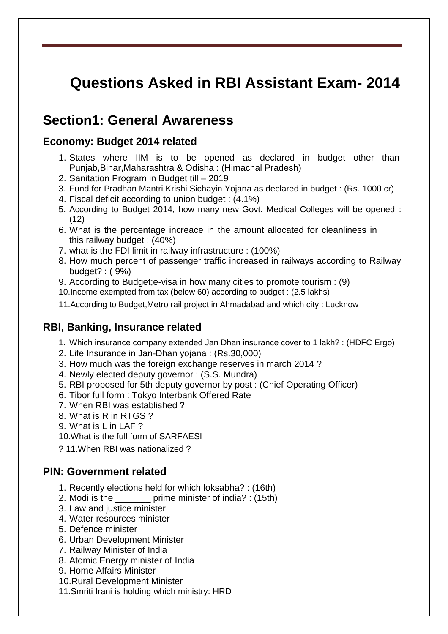# **Questions Asked in RBI Assistant Exam- 2014**

## **Section1: General Awareness**

#### **Economy: Budget 2014 related**

- 1. States where IIM is to be opened as declared in budget other than Punjab,Bihar,Maharashtra & Odisha : (Himachal Pradesh)
- 2. Sanitation Program in Budget till 2019
- 3. Fund for Pradhan Mantri Krishi Sichayin Yojana as declared in budget : (Rs. 1000 cr)
- 4. Fiscal deficit according to union budget : (4.1%)
- 5. According to Budget 2014, how many new Govt. Medical Colleges will be opened : (12)
- 6. What is the percentage increace in the amount allocated for cleanliness in this railway budget : (40%)
- 7. what is the FDI limit in railway infrastructure : (100%)
- 8. How much percent of passenger traffic increased in railways according to Railway budget? : ( 9%)
- 9. According to Budget;e-visa in how many cities to promote tourism : (9)

10.Income exempted from tax (below 60) according to budget : (2.5 lakhs)

11.According to Budget,Metro rail project in Ahmadabad and which city : Lucknow

#### **RBI, Banking, Insurance related**

- 1. Which insurance company extended Jan Dhan insurance cover to 1 lakh? : (HDFC Ergo)
- 2. Life Insurance in Jan-Dhan yojana : (Rs.30,000)
- 3. How much was the foreign exchange reserves in march 2014 ?
- 4. Newly elected deputy governor : (S.S. Mundra)
- 5. RBI proposed for 5th deputy governor by post : (Chief Operating Officer)
- 6. Tibor full form : Tokyo Interbank Offered Rate
- 7. When RBI was established ?
- 8. What is R in RTGS ?
- 9. What is L in LAF ?
- 10.What is the full form of SARFAESI
- ? 11.When RBI was nationalized ?

#### **PIN: Government related**

- 1. Recently elections held for which loksabha? : (16th)
- 2. Modi is the \_\_\_\_\_\_\_ prime minister of india? : (15th)
- 3. Law and justice minister
- 4. Water resources minister
- 5. Defence minister
- 6. Urban Development Minister
- 7. Railway Minister of India
- 8. Atomic Energy minister of India
- 9. Home Affairs Minister
- 10.Rural Development Minister
- 11.Smriti Irani is holding which ministry: HRD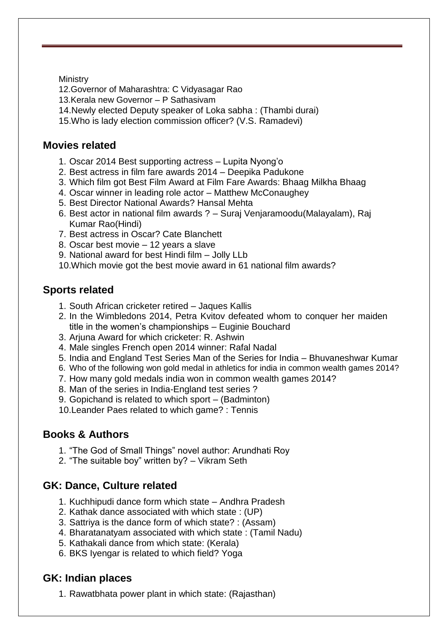Ministry

12.Governor of Maharashtra: C Vidyasagar Rao

- 13.Kerala new Governor P Sathasivam
- 14.Newly elected Deputy speaker of Loka sabha : (Thambi durai)
- 15.Who is lady election commission officer? (V.S. Ramadevi)

#### **Movies related**

- 1. Oscar 2014 Best supporting actress Lupita Nyong"o
- 2. Best actress in film fare awards 2014 Deepika Padukone
- 3. Which film got Best Film Award at Film Fare Awards: Bhaag Milkha Bhaag
- 4. Oscar winner in leading role actor Matthew McConaughey
- 5. Best Director National Awards? Hansal Mehta
- 6. Best actor in national film awards ? Suraj Venjaramoodu(Malayalam), Raj Kumar Rao(Hindi)
- 7. Best actress in Oscar? Cate Blanchett
- 8. Oscar best movie 12 years a slave
- 9. National award for best Hindi film Jolly LLb
- 10.Which movie got the best movie award in 61 national film awards?

#### **Sports related**

- 1. South African cricketer retired Jaques Kallis
- 2. In the Wimbledons 2014, Petra Kvitov defeated whom to conquer her maiden title in the women"s championships – Euginie Bouchard
- 3. Arjuna Award for which cricketer: R. Ashwin
- 4. Male singles French open 2014 winner: Rafal Nadal
- 5. India and England Test Series Man of the Series for India Bhuvaneshwar Kumar
- 6. Who of the following won gold medal in athletics for india in common wealth games 2014?
- 7. How many gold medals india won in common wealth games 2014?
- 8. Man of the series in India-England test series ?
- 9. Gopichand is related to which sport (Badminton)

10.Leander Paes related to which game? : Tennis

## **Books & Authors**

- 1. "The God of Small Things" novel author: Arundhati Roy
- 2. "The suitable boy" written by? Vikram Seth

## **GK: Dance, Culture related**

- 1. Kuchhipudi dance form which state Andhra Pradesh
- 2. Kathak dance associated with which state : (UP)
- 3. Sattriya is the dance form of which state? : (Assam)
- 4. Bharatanatyam associated with which state : (Tamil Nadu)
- 5. Kathakali dance from which state: (Kerala)
- 6. BKS Iyengar is related to which field? Yoga

## **GK: Indian places**

1. Rawatbhata power plant in which state: (Rajasthan)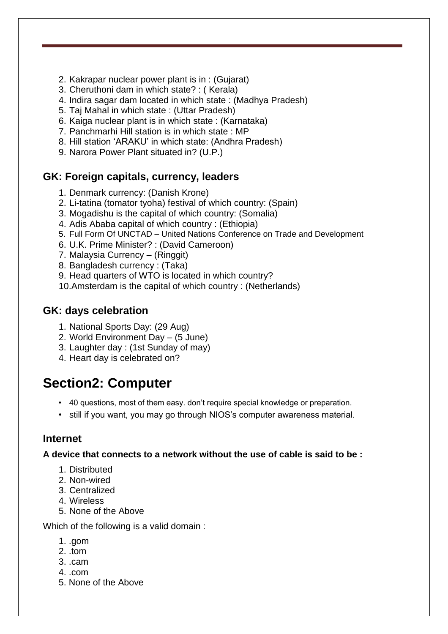- 2. Kakrapar nuclear power plant is in : (Gujarat)
- 3. Cheruthoni dam in which state? : ( Kerala)
- 4. Indira sagar dam located in which state : (Madhya Pradesh)
- 5. Taj Mahal in which state : (Uttar Pradesh)
- 6. Kaiga nuclear plant is in which state : (Karnataka)
- 7. Panchmarhi Hill station is in which state : MP
- 8. Hill station "ARAKU" in which state: (Andhra Pradesh)
- 9. Narora Power Plant situated in? (U.P.)

#### **GK: Foreign capitals, currency, leaders**

- 1. Denmark currency: (Danish Krone)
- 2. Li-tatina (tomator tyoha) festival of which country: (Spain)
- 3. Mogadishu is the capital of which country: (Somalia)
- 4. Adis Ababa capital of which country : (Ethiopia)
- 5. Full Form Of UNCTAD United Nations Conference on Trade and Development
- 6. U.K. Prime Minister? : (David Cameroon)
- 7. Malaysia Currency (Ringgit)
- 8. Bangladesh currency : (Taka)
- 9. Head quarters of WTO is located in which country?
- 10.Amsterdam is the capital of which country : (Netherlands)

#### **GK: days celebration**

- 1. National Sports Day: (29 Aug)
- 2. World Environment Day (5 June)
- 3. Laughter day : (1st Sunday of may)
- 4. Heart day is celebrated on?

# **Section2: Computer**

- 40 questions, most of them easy. don"t require special knowledge or preparation.
- still if you want, you may go through NIOS"s computer awareness material.

#### **Internet**

**A device that connects to a network without the use of cable is said to be :**

- 1. Distributed
- 2. Non-wired
- 3. Centralized
- 4. Wireless
- 5. None of the Above

Which of the following is a valid domain :

- 1. .gom
- 2. .tom
- 3. .cam
- 4. .com
- 5. None of the Above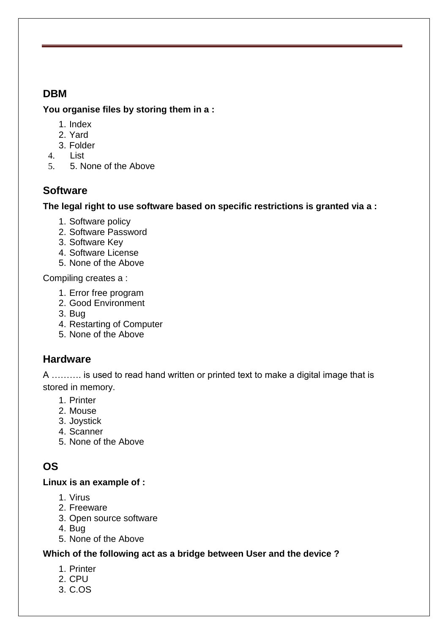#### **DBM**

#### **You organise files by storing them in a :**

- 1. Index
- 2. Yard
- 3. Folder
- 4. List
- 5. 5. None of the Above

## **Software**

**The legal right to use software based on specific restrictions is granted via a :**

- 1. Software policy
- 2. Software Password
- 3. Software Key
- 4. Software License
- 5. None of the Above

Compiling creates a :

- 1. Error free program
- 2. Good Environment
- 3. Bug
- 4. Restarting of Computer
- 5. None of the Above

## **Hardware**

A ………. is used to read hand written or printed text to make a digital image that is stored in memory.

- 1. Printer
- 2. Mouse
- 3. Joystick
- 4. Scanner
- 5. None of the Above

## **OS**

#### **Linux is an example of :**

- 1. Virus
- 2. Freeware
- 3. Open source software
- 4. Bug
- 5. None of the Above

#### **Which of the following act as a bridge between User and the device ?**

- 1. Printer
- 2. CPU
- 3. C.OS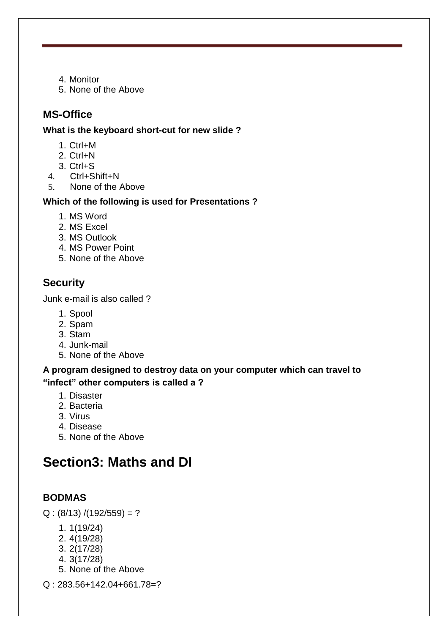- 4. Monitor
- 5. None of the Above

#### **MS-Office**

**What is the keyboard short-cut for new slide ?**

- 1. Ctrl+M
- 2. Ctrl+N
- 3. Ctrl+S
- 4. Ctrl+Shift+N
- 5. None of the Above

#### **Which of the following is used for Presentations ?**

- 1. MS Word
- 2. MS Excel
- 3. MS Outlook
- 4. MS Power Point
- 5. None of the Above

#### **Security**

Junk e-mail is also called ?

- 1. Spool
- 2. Spam
- 3. Stam
- 4. Junk-mail
- 5. None of the Above

#### **A program designed to destroy data on your computer which can travel to "infect" other computers is called a ?**

- 1. Disaster
- 2. Bacteria
- 3. Virus
- 4. Disease
- 5. None of the Above

# **Section3: Maths and DI**

#### **BODMAS**

 $Q$  : (8/13) /(192/559) = ?

- 1. 1(19/24)
- 2. 4(19/28)
- 3. 2(17/28)
- 4. 3(17/28)
- 5. None of the Above
- Q : 283.56+142.04+661.78=?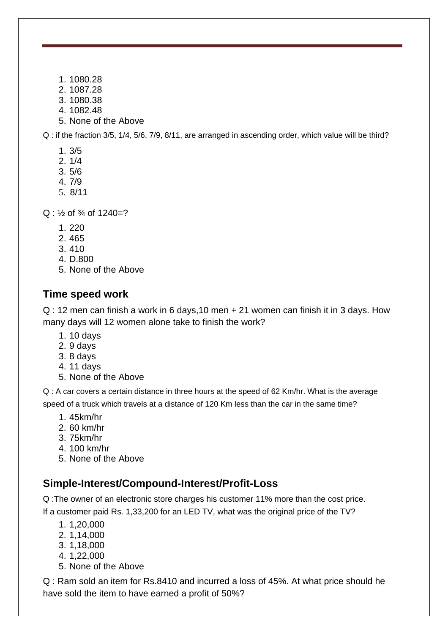- 1. 1080.28
- 2. 1087.28
- 3. 1080.38
- 4. 1082.48
- 5. None of the Above

Q : if the fraction 3/5, 1/4, 5/6, 7/9, 8/11, are arranged in ascending order, which value will be third?

- 1. 3/5
- 2. 1/4
- 3. 5/6
- 4. 7/9
- 5. 8/11

 $Q: \frac{1}{2}$  of  $\frac{3}{4}$  of 1240=?

- 1. 220
- 2. 465
- 3. 410
- 4. D.800
- 5. None of the Above

#### **Time speed work**

Q : 12 men can finish a work in 6 days,10 men + 21 women can finish it in 3 days. How many days will 12 women alone take to finish the work?

- 1. 10 days
- 2. 9 days
- 3. 8 days
- 4. 11 days
- 5. None of the Above

Q : A car covers a certain distance in three hours at the speed of 62 Km/hr. What is the average speed of a truck which travels at a distance of 120 Km less than the car in the same time?

- 1. 45km/hr
- 2. 60 km/hr
- 3. 75km/hr
- 4. 100 km/hr
- 5. None of the Above

#### **Simple-Interest/Compound-Interest/Profit-Loss**

Q :The owner of an electronic store charges his customer 11% more than the cost price. If a customer paid Rs. 1,33,200 for an LED TV, what was the original price of the TV?

- 1. 1,20,000
- 2. 1,14,000
- 3. 1,18,000
- 4. 1,22,000
- 5. None of the Above

Q : Ram sold an item for Rs.8410 and incurred a loss of 45%. At what price should he have sold the item to have earned a profit of 50%?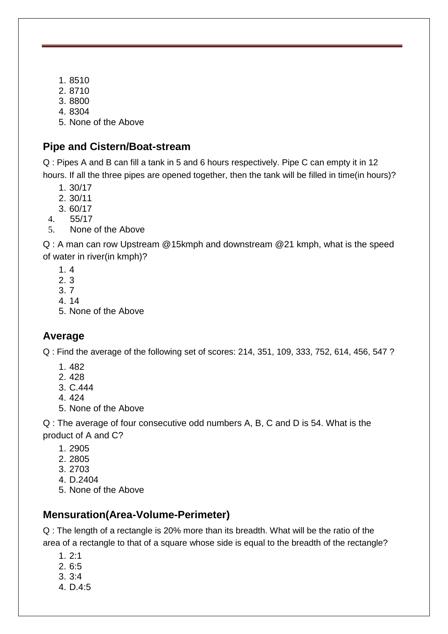- 1. 8510
- 2. 8710
- 3. 8800
- 4. 8304
- 5. None of the Above

#### **Pipe and Cistern/Boat-stream**

Q : Pipes A and B can fill a tank in 5 and 6 hours respectively. Pipe C can empty it in 12 hours. If all the three pipes are opened together, then the tank will be filled in time(in hours)?

- 1. 30/17
- 2. 30/11
- 3. 60/17
- 4. 55/17
- 5. None of the Above

Q : A man can row Upstream @15kmph and downstream @21 kmph, what is the speed of water in river(in kmph)?

- 1. 4
- 2. 3
- 3. 7
- 4. 14
- 5. None of the Above

#### **Average**

Q : Find the average of the following set of scores: 214, 351, 109, 333, 752, 614, 456, 547 ?

- 1. 482
- 2. 428
- 3. C.444
- 4. 424
- 5. None of the Above

Q : The average of four consecutive odd numbers A, B, C and D is 54. What is the product of A and C?

- 1. 2905
- 2. 2805
- 3. 2703
- 4. D.2404
- 5. None of the Above

## **Mensuration(Area-Volume-Perimeter)**

Q : The length of a rectangle is 20% more than its breadth. What will be the ratio of the area of a rectangle to that of a square whose side is equal to the breadth of the rectangle?

- 1. 2:1
- 2. 6:5
- 3. 3:4
- 4. D.4:5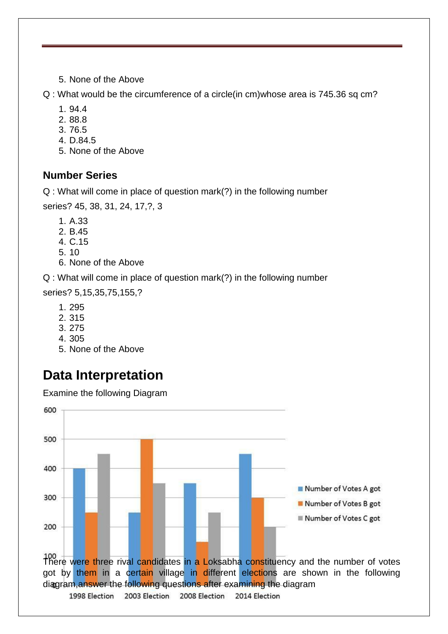5. None of the Above

Q : What would be the circumference of a circle(in cm)whose area is 745.36 sq cm?

- 1. 94.4
- 2. 88.8
- 3. 76.5
- 4. D.84.5
- 5. None of the Above

#### **Number Series**

Q : What will come in place of question mark(?) in the following number

series? 45, 38, 31, 24, 17,?, 3

- 1. A.33
- 2. B.45
- 4. C.15
- 5. 10
- 6. None of the Above

Q : What will come in place of question mark(?) in the following number

series? 5,15,35,75,155,?

- 1. 295
- 2. 315
- 3. 275
- 4. 305
- 5. None of the Above

# **Data Interpretation**

Examine the following Diagram

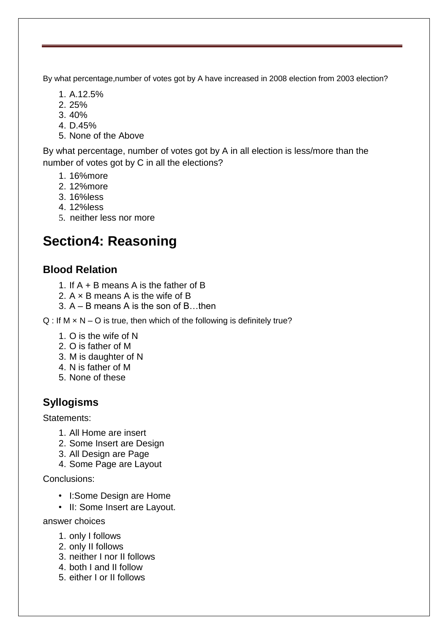By what percentage,number of votes got by A have increased in 2008 election from 2003 election?

- 1. A.12.5%
- 2. 25%
- 3. 40%
- 4. D.45%
- 5. None of the Above

By what percentage, number of votes got by A in all election is less/more than the number of votes got by C in all the elections?

- 1. 16%more
- 2. 12%more
- 3. 16%less
- 4. 12%less
- 5. neither less nor more

# **Section4: Reasoning**

#### **Blood Relation**

- 1. If A + B means A is the father of B
- 2. A × B means A is the wife of B
- 3. A B means A is the son of B…then
- $Q$  : If M  $\times$  N O is true, then which of the following is definitely true?
	- 1. O is the wife of N
	- 2. O is father of M
	- 3. M is daughter of N
	- 4. N is father of M
	- 5. None of these

## **Syllogisms**

#### Statements:

- 1. All Home are insert
- 2. Some Insert are Design
- 3. All Design are Page
- 4. Some Page are Layout

Conclusions:

- I:Some Design are Home
- II: Some Insert are Layout.

answer choices

- 1. only I follows
- 2. only II follows
- 3. neither I nor II follows
- 4. both I and II follow
- 5. either I or II follows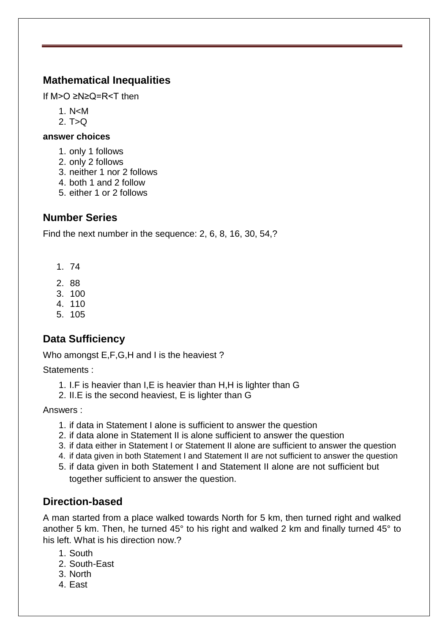#### **Mathematical Inequalities**

If M>O ≥N≥Q=R<T then

- 1. N<M
- 2.  $T > Q$

#### **answer choices**

- 1. only 1 follows
- 2. only 2 follows
- 3. neither 1 nor 2 follows
- 4. both 1 and 2 follow
- 5. either 1 or 2 follows

#### **Number Series**

Find the next number in the sequence: 2, 6, 8, 16, 30, 54,?

- 1. 74
- 2. 88
- 3. 100
- 4. 110
- 5. 105

## **Data Sufficiency**

Who amongst E,F,G,H and I is the heaviest ?

Statements :

- 1. I.F is heavier than I,E is heavier than H,H is lighter than G
- 2. II.E is the second heaviest, E is lighter than G

Answers :

- 1. if data in Statement I alone is sufficient to answer the question
- 2. if data alone in Statement II is alone sufficient to answer the question
- 3. if data either in Statement I or Statement II alone are sufficient to answer the question
- 4. if data given in both Statement I and Statement II are not sufficient to answer the question
- 5. if data given in both Statement I and Statement II alone are not sufficient but together sufficient to answer the question.

#### **Direction-based**

A man started from a place walked towards North for 5 km, then turned right and walked another 5 km. Then, he turned 45° to his right and walked 2 km and finally turned 45° to his left. What is his direction now.?

- 1. South
- 2. South-East
- 3. North
- 4. East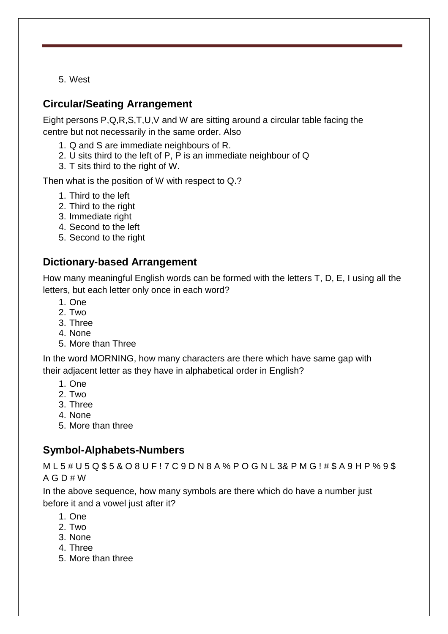5. West

#### **Circular/Seating Arrangement**

Eight persons P,Q,R,S,T,U,V and W are sitting around a circular table facing the centre but not necessarily in the same order. Also

- 1. Q and S are immediate neighbours of R.
- 2. U sits third to the left of P, P is an immediate neighbour of Q
- 3. T sits third to the right of W.

Then what is the position of W with respect to Q.?

- 1. Third to the left
- 2. Third to the right
- 3. Immediate right
- 4. Second to the left
- 5. Second to the right

#### **Dictionary-based Arrangement**

How many meaningful English words can be formed with the letters T, D, E, I using all the letters, but each letter only once in each word?

- 1. One
- 2. Two
- 3. Three
- 4. None
- 5. More than Three

In the word MORNING, how many characters are there which have same gap with their adjacent letter as they have in alphabetical order in English?

- 1. One
- 2. Two
- 3. Three
- 4. None
- 5. More than three

#### **Symbol-Alphabets-Numbers**

M L 5 # U 5 Q \$ 5 & O 8 U F ! 7 C 9 D N 8 A % P O G N L 3& P M G ! # \$ A 9 H P % 9 \$  $A G D # W$ 

In the above sequence, how many symbols are there which do have a number just before it and a vowel just after it?

- 1. One
- 2. Two
- 3. None
- 4. Three
- 5. More than three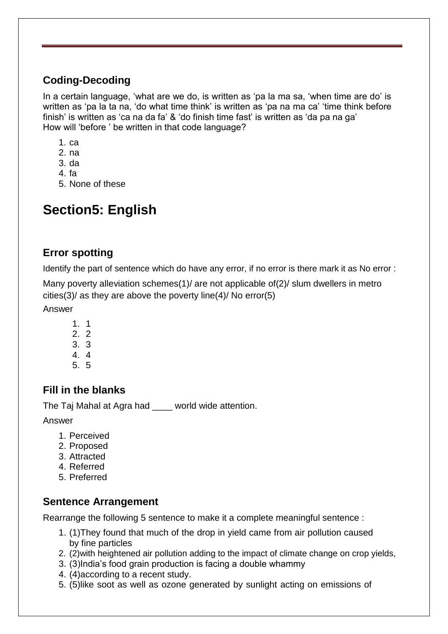## **Coding-Decoding**

In a certain language, "what are we do, is written as "pa la ma sa, "when time are do" is written as 'pa la ta na, 'do what time think' is written as 'pa na ma ca' 'time think before finish' is written as 'ca na da fa' & 'do finish time fast' is written as 'da pa na ga' How will "before " be written in that code language?

- 1. ca
- 2. na
- 3. da
- 4. fa
- 5. None of these

# **Section5: English**

#### **Error spotting**

Identify the part of sentence which do have any error, if no error is there mark it as No error :

Many poverty alleviation schemes(1)/ are not applicable of(2)/ slum dwellers in metro cities(3)/ as they are above the poverty line(4)/ No error(5)

Answer

- 1. 1
- 2. 2
- 3. 3
- 4. 4
- 5. 5

## **Fill in the blanks**

The Taj Mahal at Agra had \_\_\_\_ world wide attention.

Answer

- 1. Perceived
- 2. Proposed
- 3. Attracted
- 4. Referred
- 5. Preferred

#### **Sentence Arrangement**

Rearrange the following 5 sentence to make it a complete meaningful sentence :

- 1. (1)They found that much of the drop in yield came from air pollution caused by fine particles
- 2. (2)with heightened air pollution adding to the impact of climate change on crop yields,
- 3. (3)India"s food grain production is facing a double whammy
- 4. (4)according to a recent study.
- 5. (5)like soot as well as ozone generated by sunlight acting on emissions of